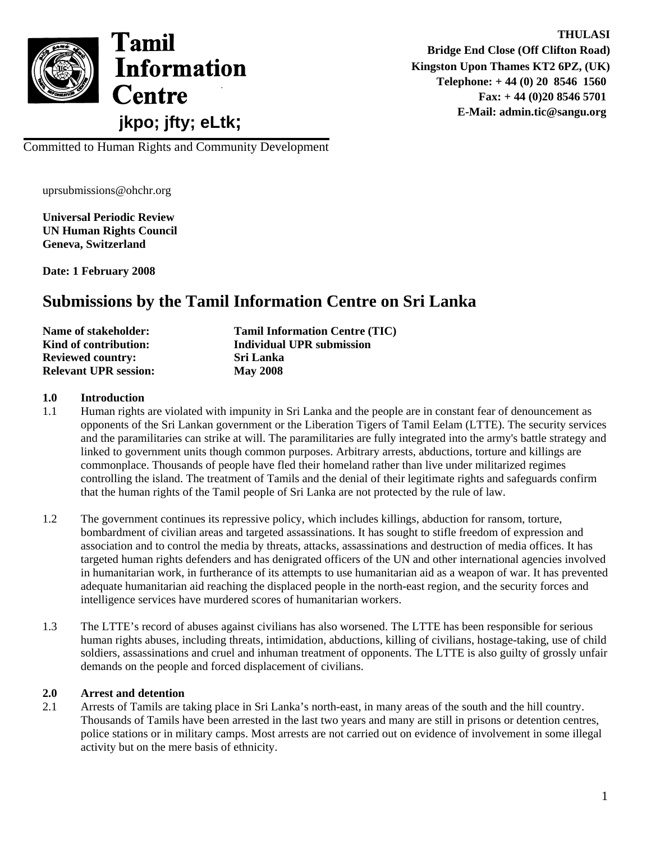

**THULASI Bridge End Close (Off Clifton Road) Kingston Upon Thames KT2 6PZ, (UK) Telephone: + 44 (0) 20 8546 1560 Fax: + 44 (0)20 8546 5701 E-Mail: admin.tic@sangu.org**

Committed to Human Rights and Community Development

uprsubmissions@ohchr.org

**Universal Periodic Review UN Human Rights Council Geneva, Switzerland** 

**Date: 1 February 2008** 

# **Submissions by the Tamil Information Centre on Sri Lanka**

| Name of stakeholder:         | <b>Tamil Information Centre (TIC)</b> |
|------------------------------|---------------------------------------|
| Kind of contribution:        | Individual UPR submission             |
| <b>Reviewed country:</b>     | <b>Sri Lanka</b>                      |
| <b>Relevant UPR session:</b> | <b>May 2008</b>                       |

#### **1.0 Introduction**

- 1.1 Human rights are violated with impunity in Sri Lanka and the people are in constant fear of denouncement as opponents of the Sri Lankan government or the Liberation Tigers of Tamil Eelam (LTTE). The security services and the paramilitaries can strike at will. The paramilitaries are fully integrated into the army's battle strategy and linked to government units though common purposes. Arbitrary arrests, abductions, torture and killings are commonplace. Thousands of people have fled their homeland rather than live under militarized regimes controlling the island. The treatment of Tamils and the denial of their legitimate rights and safeguards confirm that the human rights of the Tamil people of Sri Lanka are not protected by the rule of law.
- 1.2 The government continues its repressive policy, which includes killings, abduction for ransom, torture, bombardment of civilian areas and targeted assassinations. It has sought to stifle freedom of expression and association and to control the media by threats, attacks, assassinations and destruction of media offices. It has targeted human rights defenders and has denigrated officers of the UN and other international agencies involved in humanitarian work, in furtherance of its attempts to use humanitarian aid as a weapon of war. It has prevented adequate humanitarian aid reaching the displaced people in the north-east region, and the security forces and intelligence services have murdered scores of humanitarian workers.
- 1.3 The LTTE's record of abuses against civilians has also worsened. The LTTE has been responsible for serious human rights abuses, including threats, intimidation, abductions, killing of civilians, hostage-taking, use of child soldiers, assassinations and cruel and inhuman treatment of opponents. The LTTE is also guilty of grossly unfair demands on the people and forced displacement of civilians.

#### **2.0 Arrest and detention**

2.1 Arrests of Tamils are taking place in Sri Lanka's north-east, in many areas of the south and the hill country. Thousands of Tamils have been arrested in the last two years and many are still in prisons or detention centres, police stations or in military camps. Most arrests are not carried out on evidence of involvement in some illegal activity but on the mere basis of ethnicity.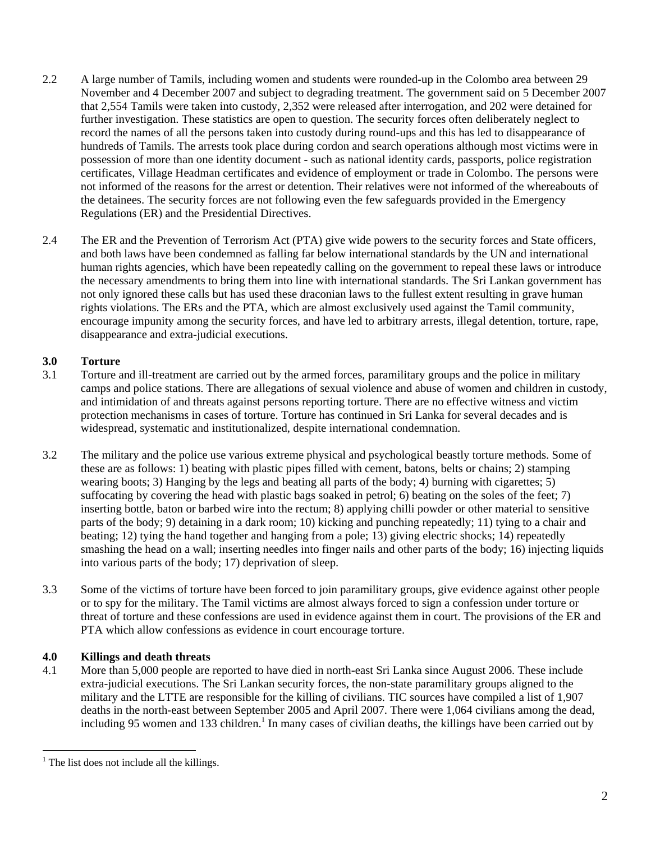- 2.2 A large number of Tamils, including women and students were rounded-up in the Colombo area between 29 November and 4 December 2007 and subject to degrading treatment. The government said on 5 December 2007 that 2,554 Tamils were taken into custody, 2,352 were released after interrogation, and 202 were detained for further investigation. These statistics are open to question. The security forces often deliberately neglect to record the names of all the persons taken into custody during round-ups and this has led to disappearance of hundreds of Tamils. The arrests took place during cordon and search operations although most victims were in possession of more than one identity document - such as national identity cards, passports, police registration certificates, Village Headman certificates and evidence of employment or trade in Colombo. The persons were not informed of the reasons for the arrest or detention. Their relatives were not informed of the whereabouts of the detainees. The security forces are not following even the few safeguards provided in the Emergency Regulations (ER) and the Presidential Directives.
- 2.4 The ER and the Prevention of Terrorism Act (PTA) give wide powers to the security forces and State officers, and both laws have been condemned as falling far below international standards by the UN and international human rights agencies, which have been repeatedly calling on the government to repeal these laws or introduce the necessary amendments to bring them into line with international standards. The Sri Lankan government has not only ignored these calls but has used these draconian laws to the fullest extent resulting in grave human rights violations. The ERs and the PTA, which are almost exclusively used against the Tamil community, encourage impunity among the security forces, and have led to arbitrary arrests, illegal detention, torture, rape, disappearance and extra-judicial executions.

## **3.0 Torture**

- 3.1 Torture and ill-treatment are carried out by the armed forces, paramilitary groups and the police in military camps and police stations. There are allegations of sexual violence and abuse of women and children in custody, and intimidation of and threats against persons reporting torture. There are no effective witness and victim protection mechanisms in cases of torture. Torture has continued in Sri Lanka for several decades and is widespread, systematic and institutionalized, despite international condemnation.
- 3.2 The military and the police use various extreme physical and psychological beastly torture methods. Some of these are as follows: 1) beating with plastic pipes filled with cement, batons, belts or chains; 2) stamping wearing boots; 3) Hanging by the legs and beating all parts of the body; 4) burning with cigarettes; 5) suffocating by covering the head with plastic bags soaked in petrol; 6) beating on the soles of the feet; 7) inserting bottle, baton or barbed wire into the rectum; 8) applying chilli powder or other material to sensitive parts of the body; 9) detaining in a dark room; 10) kicking and punching repeatedly; 11) tying to a chair and beating; 12) tying the hand together and hanging from a pole; 13) giving electric shocks; 14) repeatedly smashing the head on a wall; inserting needles into finger nails and other parts of the body; 16) injecting liquids into various parts of the body; 17) deprivation of sleep.
- 3.3 Some of the victims of torture have been forced to join paramilitary groups, give evidence against other people or to spy for the military. The Tamil victims are almost always forced to sign a confession under torture or threat of torture and these confessions are used in evidence against them in court. The provisions of the ER and PTA which allow confessions as evidence in court encourage torture.

## **4.0 Killings and death threats**

4.1 More than 5,000 people are reported to have died in north-east Sri Lanka since August 2006. These include extra-judicial executions. The Sri Lankan security forces, the non-state paramilitary groups aligned to the military and the LTTE are responsible for the killing of civilians. TIC sources have compiled a list of 1,907 deaths in the north-east between September 2005 and April 2007. There were 1,064 civilians among the dead, including 95 women and 133 children.<sup>1</sup> In many cases of civilian deaths, the killings have been carried out by

 $\overline{a}$ <sup>1</sup> The list does not include all the killings.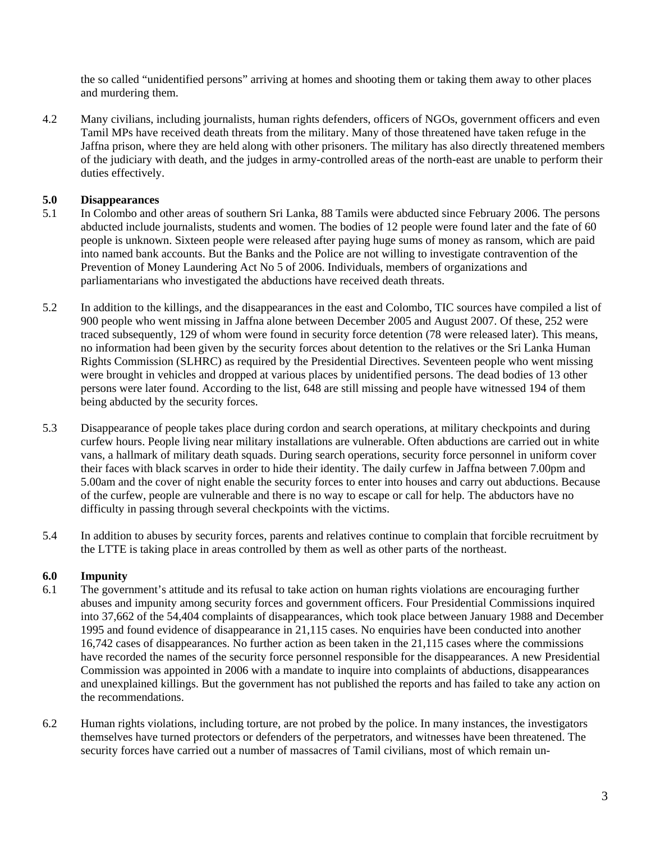the so called "unidentified persons" arriving at homes and shooting them or taking them away to other places and murdering them.

4.2 Many civilians, including journalists, human rights defenders, officers of NGOs, government officers and even Tamil MPs have received death threats from the military. Many of those threatened have taken refuge in the Jaffna prison, where they are held along with other prisoners. The military has also directly threatened members of the judiciary with death, and the judges in army-controlled areas of the north-east are unable to perform their duties effectively.

## **5.0 Disappearances**

- 5.1 In Colombo and other areas of southern Sri Lanka, 88 Tamils were abducted since February 2006. The persons abducted include journalists, students and women. The bodies of 12 people were found later and the fate of 60 people is unknown. Sixteen people were released after paying huge sums of money as ransom, which are paid into named bank accounts. But the Banks and the Police are not willing to investigate contravention of the Prevention of Money Laundering Act No 5 of 2006. Individuals, members of organizations and parliamentarians who investigated the abductions have received death threats.
- 5.2 In addition to the killings, and the disappearances in the east and Colombo, TIC sources have compiled a list of 900 people who went missing in Jaffna alone between December 2005 and August 2007. Of these, 252 were traced subsequently, 129 of whom were found in security force detention (78 were released later). This means, no information had been given by the security forces about detention to the relatives or the Sri Lanka Human Rights Commission (SLHRC) as required by the Presidential Directives. Seventeen people who went missing were brought in vehicles and dropped at various places by unidentified persons. The dead bodies of 13 other persons were later found. According to the list, 648 are still missing and people have witnessed 194 of them being abducted by the security forces.
- 5.3 Disappearance of people takes place during cordon and search operations, at military checkpoints and during curfew hours. People living near military installations are vulnerable. Often abductions are carried out in white vans, a hallmark of military death squads. During search operations, security force personnel in uniform cover their faces with black scarves in order to hide their identity. The daily curfew in Jaffna between 7.00pm and 5.00am and the cover of night enable the security forces to enter into houses and carry out abductions. Because of the curfew, people are vulnerable and there is no way to escape or call for help. The abductors have no difficulty in passing through several checkpoints with the victims.
- 5.4 In addition to abuses by security forces, parents and relatives continue to complain that forcible recruitment by the LTTE is taking place in areas controlled by them as well as other parts of the northeast.

## **6.0 Impunity**

- 6.1 The government's attitude and its refusal to take action on human rights violations are encouraging further abuses and impunity among security forces and government officers. Four Presidential Commissions inquired into 37,662 of the 54,404 complaints of disappearances, which took place between January 1988 and December 1995 and found evidence of disappearance in 21,115 cases. No enquiries have been conducted into another 16,742 cases of disappearances. No further action as been taken in the 21,115 cases where the commissions have recorded the names of the security force personnel responsible for the disappearances. A new Presidential Commission was appointed in 2006 with a mandate to inquire into complaints of abductions, disappearances and unexplained killings. But the government has not published the reports and has failed to take any action on the recommendations.
- 6.2 Human rights violations, including torture, are not probed by the police. In many instances, the investigators themselves have turned protectors or defenders of the perpetrators, and witnesses have been threatened. The security forces have carried out a number of massacres of Tamil civilians, most of which remain un-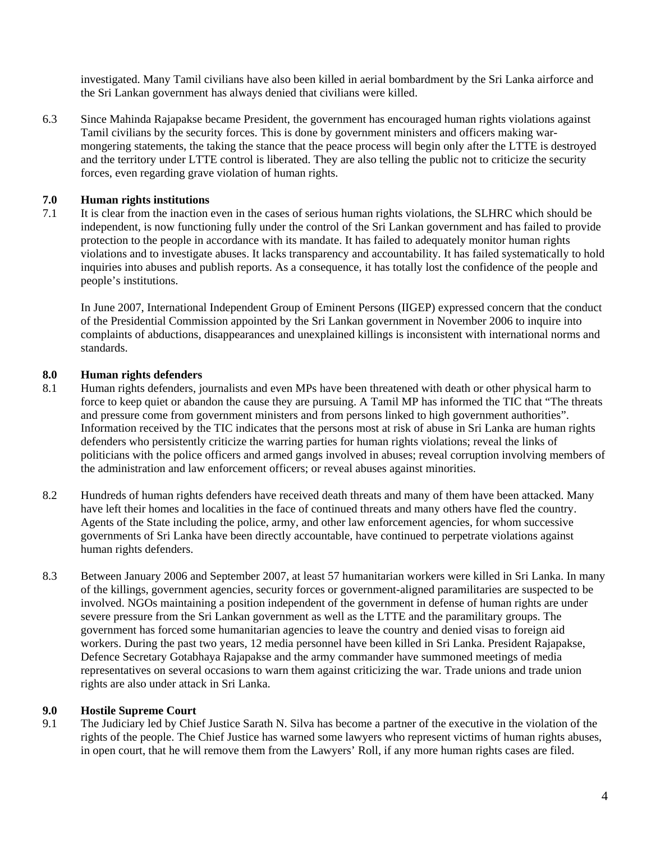investigated. Many Tamil civilians have also been killed in aerial bombardment by the Sri Lanka airforce and the Sri Lankan government has always denied that civilians were killed.

6.3 Since Mahinda Rajapakse became President, the government has encouraged human rights violations against Tamil civilians by the security forces. This is done by government ministers and officers making warmongering statements, the taking the stance that the peace process will begin only after the LTTE is destroyed and the territory under LTTE control is liberated. They are also telling the public not to criticize the security forces, even regarding grave violation of human rights.

#### **7.0 Human rights institutions**

7.1 It is clear from the inaction even in the cases of serious human rights violations, the SLHRC which should be independent, is now functioning fully under the control of the Sri Lankan government and has failed to provide protection to the people in accordance with its mandate. It has failed to adequately monitor human rights violations and to investigate abuses. It lacks transparency and accountability. It has failed systematically to hold inquiries into abuses and publish reports. As a consequence, it has totally lost the confidence of the people and people's institutions.

In June 2007, International Independent Group of Eminent Persons (IIGEP) expressed concern that the conduct of the Presidential Commission appointed by the Sri Lankan government in November 2006 to inquire into complaints of abductions, disappearances and unexplained killings is inconsistent with international norms and standards.

## **8.0 Human rights defenders**

- 8.1 Human rights defenders, journalists and even MPs have been threatened with death or other physical harm to force to keep quiet or abandon the cause they are pursuing. A Tamil MP has informed the TIC that "The threats and pressure come from government ministers and from persons linked to high government authorities". Information received by the TIC indicates that the persons most at risk of abuse in Sri Lanka are human rights defenders who persistently criticize the warring parties for human rights violations; reveal the links of politicians with the police officers and armed gangs involved in abuses; reveal corruption involving members of the administration and law enforcement officers; or reveal abuses against minorities.
- 8.2 Hundreds of human rights defenders have received death threats and many of them have been attacked. Many have left their homes and localities in the face of continued threats and many others have fled the country. Agents of the State including the police, army, and other law enforcement agencies, for whom successive governments of Sri Lanka have been directly accountable, have continued to perpetrate violations against human rights defenders.
- 8.3 Between January 2006 and September 2007, at least 57 humanitarian workers were killed in Sri Lanka. In many of the killings, government agencies, security forces or government-aligned paramilitaries are suspected to be involved. NGOs maintaining a position independent of the government in defense of human rights are under severe pressure from the Sri Lankan government as well as the LTTE and the paramilitary groups. The government has forced some humanitarian agencies to leave the country and denied visas to foreign aid workers. During the past two years, 12 media personnel have been killed in Sri Lanka. President Rajapakse, Defence Secretary Gotabhaya Rajapakse and the army commander have summoned meetings of media representatives on several occasions to warn them against criticizing the war. Trade unions and trade union rights are also under attack in Sri Lanka.

## **9.0 Hostile Supreme Court**

9.1 The Judiciary led by Chief Justice Sarath N. Silva has become a partner of the executive in the violation of the rights of the people. The Chief Justice has warned some lawyers who represent victims of human rights abuses, in open court, that he will remove them from the Lawyers' Roll, if any more human rights cases are filed.